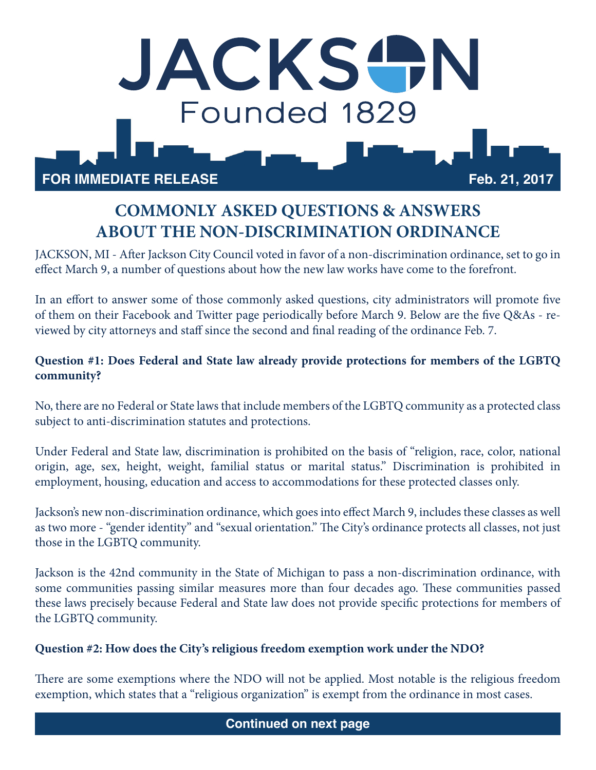

# **COMMONLY ASKED QUESTIONS & ANSWERS ABOUT THE NON-DISCRIMINATION ORDINANCE**

JACKSON, MI - After Jackson City Council voted in favor of a non-discrimination ordinance, set to go in effect March 9, a number of questions about how the new law works have come to the forefront.

In an effort to answer some of those commonly asked questions, city administrators will promote five of them on their Facebook and Twitter page periodically before March 9. Below are the five Q&As - reviewed by city attorneys and staff since the second and final reading of the ordinance Feb. 7.

## **Question #1: Does Federal and State law already provide protections for members of the LGBTQ community?**

No, there are no Federal or State laws that include members of the LGBTQ community as a protected class subject to anti-discrimination statutes and protections.

Under Federal and State law, discrimination is prohibited on the basis of "religion, race, color, national origin, age, sex, height, weight, familial status or marital status." Discrimination is prohibited in employment, housing, education and access to accommodations for these protected classes only.

Jackson's new non-discrimination ordinance, which goes into effect March 9, includes these classes as well as two more - "gender identity" and "sexual orientation." The City's ordinance protects all classes, not just those in the LGBTQ community.

Jackson is the 42nd community in the State of Michigan to pass a non-discrimination ordinance, with some communities passing similar measures more than four decades ago. These communities passed these laws precisely because Federal and State law does not provide specific protections for members of the LGBTQ community.

### **Question #2: How does the City's religious freedom exemption work under the NDO?**

There are some exemptions where the NDO will not be applied. Most notable is the religious freedom exemption, which states that a "religious organization" is exempt from the ordinance in most cases.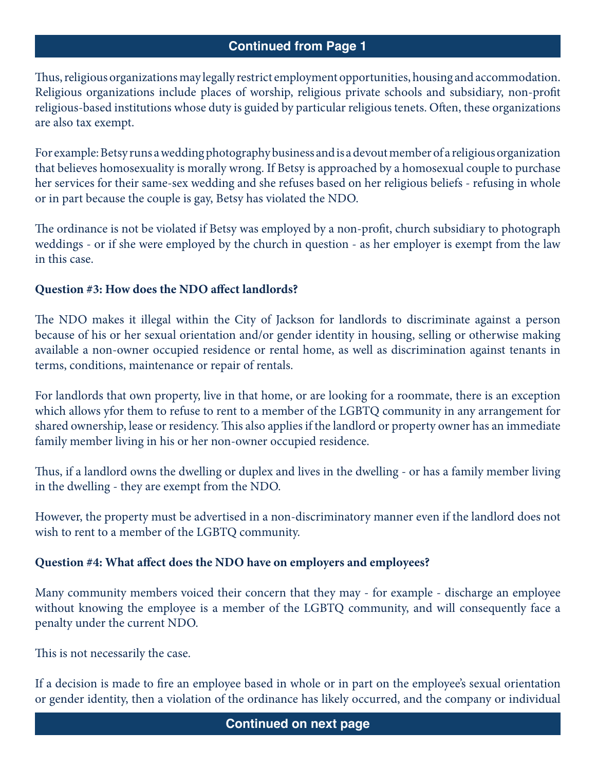## **Continued from Page 1**

Thus, religious organizations may legally restrict employment opportunities, housing and accommodation. Religious organizations include places of worship, religious private schools and subsidiary, non-profit religious-based institutions whose duty is guided by particular religious tenets. Often, these organizations are also tax exempt.

For example: Betsy runs a wedding photography business and is a devout member of a religious organization that believes homosexuality is morally wrong. If Betsy is approached by a homosexual couple to purchase her services for their same-sex wedding and she refuses based on her religious beliefs - refusing in whole or in part because the couple is gay, Betsy has violated the NDO.

The ordinance is not be violated if Betsy was employed by a non-profit, church subsidiary to photograph weddings - or if she were employed by the church in question - as her employer is exempt from the law in this case.

## **Question #3: How does the NDO affect landlords?**

The NDO makes it illegal within the City of Jackson for landlords to discriminate against a person because of his or her sexual orientation and/or gender identity in housing, selling or otherwise making available a non-owner occupied residence or rental home, as well as discrimination against tenants in terms, conditions, maintenance or repair of rentals.

For landlords that own property, live in that home, or are looking for a roommate, there is an exception which allows yfor them to refuse to rent to a member of the LGBTQ community in any arrangement for shared ownership, lease or residency. This also applies if the landlord or property owner has an immediate family member living in his or her non-owner occupied residence.

Thus, if a landlord owns the dwelling or duplex and lives in the dwelling - or has a family member living in the dwelling - they are exempt from the NDO.

However, the property must be advertised in a non-discriminatory manner even if the landlord does not wish to rent to a member of the LGBTQ community.

### **Question #4: What affect does the NDO have on employers and employees?**

Many community members voiced their concern that they may - for example - discharge an employee without knowing the employee is a member of the LGBTQ community, and will consequently face a penalty under the current NDO.

This is not necessarily the case.

If a decision is made to fire an employee based in whole or in part on the employee's sexual orientation or gender identity, then a violation of the ordinance has likely occurred, and the company or individual